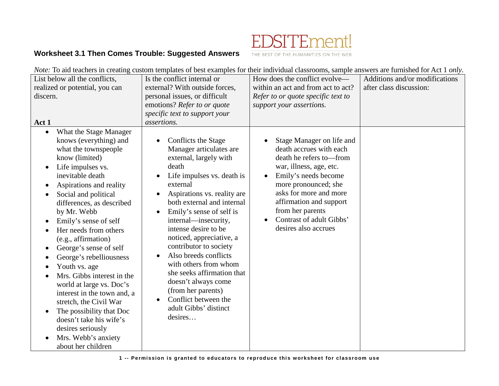

## **Worksheet 3.1 Then Comes Trouble: Suggested Answers**

*Note:* To aid teachers in creating custom templates of best examples for their individual classrooms, sample answers are furnished for Act 1 *only*.

| Trole. To any reactions in creating easion remplaces or ocsi examples for their man chastrooms, sample answers are ratifismed for five t                                                                                                                                                                                                                                                                                                                                                                                                                                                                                                                                                                    |                                                                                                                                                                                                                                                                                                                                                                                                                                                                                                                     |                                                                                                                                                                                                                                                                                                                   |                                |
|-------------------------------------------------------------------------------------------------------------------------------------------------------------------------------------------------------------------------------------------------------------------------------------------------------------------------------------------------------------------------------------------------------------------------------------------------------------------------------------------------------------------------------------------------------------------------------------------------------------------------------------------------------------------------------------------------------------|---------------------------------------------------------------------------------------------------------------------------------------------------------------------------------------------------------------------------------------------------------------------------------------------------------------------------------------------------------------------------------------------------------------------------------------------------------------------------------------------------------------------|-------------------------------------------------------------------------------------------------------------------------------------------------------------------------------------------------------------------------------------------------------------------------------------------------------------------|--------------------------------|
| List below all the conflicts,                                                                                                                                                                                                                                                                                                                                                                                                                                                                                                                                                                                                                                                                               | Is the conflict internal or                                                                                                                                                                                                                                                                                                                                                                                                                                                                                         | How does the conflict evolve—                                                                                                                                                                                                                                                                                     | Additions and/or modifications |
| realized or potential, you can                                                                                                                                                                                                                                                                                                                                                                                                                                                                                                                                                                                                                                                                              | external? With outside forces,                                                                                                                                                                                                                                                                                                                                                                                                                                                                                      | within an act and from act to act?                                                                                                                                                                                                                                                                                | after class discussion:        |
| discern.                                                                                                                                                                                                                                                                                                                                                                                                                                                                                                                                                                                                                                                                                                    | personal issues, or difficult                                                                                                                                                                                                                                                                                                                                                                                                                                                                                       | Refer to or quote specific text to                                                                                                                                                                                                                                                                                |                                |
|                                                                                                                                                                                                                                                                                                                                                                                                                                                                                                                                                                                                                                                                                                             | emotions? Refer to or quote                                                                                                                                                                                                                                                                                                                                                                                                                                                                                         | support your assertions.                                                                                                                                                                                                                                                                                          |                                |
|                                                                                                                                                                                                                                                                                                                                                                                                                                                                                                                                                                                                                                                                                                             | specific text to support your                                                                                                                                                                                                                                                                                                                                                                                                                                                                                       |                                                                                                                                                                                                                                                                                                                   |                                |
| Act 1                                                                                                                                                                                                                                                                                                                                                                                                                                                                                                                                                                                                                                                                                                       | assertions.                                                                                                                                                                                                                                                                                                                                                                                                                                                                                                         |                                                                                                                                                                                                                                                                                                                   |                                |
| What the Stage Manager<br>$\bullet$<br>knows (everything) and<br>what the townspeople<br>know (limited)<br>Life impulses vs.<br>$\bullet$<br>inevitable death<br>Aspirations and reality<br>$\bullet$<br>Social and political<br>differences, as described<br>by Mr. Webb<br>Emily's sense of self<br>Her needs from others<br>$\bullet$<br>(e.g., affirmation)<br>George's sense of self<br>$\bullet$<br>George's rebelliousness<br>Youth vs. age<br>Mrs. Gibbs interest in the<br>$\bullet$<br>world at large vs. Doc's<br>interest in the town and, a<br>stretch, the Civil War<br>The possibility that Doc<br>doesn't take his wife's<br>desires seriously<br>Mrs. Webb's anxiety<br>about her children | Conflicts the Stage<br>Manager articulates are<br>external, largely with<br>death<br>Life impulses vs. death is<br>external<br>Aspirations vs. reality are<br>both external and internal<br>Emily's sense of self is<br>internal—insecurity,<br>intense desire to be<br>noticed, appreciative, a<br>contributor to society<br>Also breeds conflicts<br>with others from whom<br>she seeks affirmation that<br>doesn't always come<br>(from her parents)<br>Conflict between the<br>adult Gibbs' distinct<br>desires | Stage Manager on life and<br>death accrues with each<br>death he refers to-from<br>war, illness, age, etc.<br>Emily's needs become<br>$\bullet$<br>more pronounced; she<br>asks for more and more<br>affirmation and support<br>from her parents<br>Contrast of adult Gibbs'<br>$\bullet$<br>desires also accrues |                                |
|                                                                                                                                                                                                                                                                                                                                                                                                                                                                                                                                                                                                                                                                                                             |                                                                                                                                                                                                                                                                                                                                                                                                                                                                                                                     |                                                                                                                                                                                                                                                                                                                   |                                |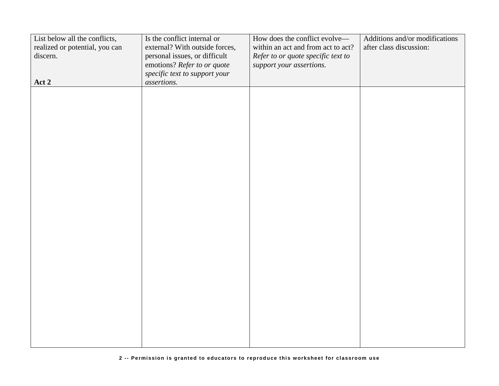| after class discussion:<br>realized or potential, you can<br>external? With outside forces,<br>within an act and from act to act?<br>personal issues, or difficult<br>discern.<br>Refer to or quote specific text to<br>emotions? Refer to or quote<br>support your assertions.<br>specific text to support your<br>assertions.<br>Act 2 | List below all the conflicts, | Is the conflict internal or | How does the conflict evolve- | Additions and/or modifications |
|------------------------------------------------------------------------------------------------------------------------------------------------------------------------------------------------------------------------------------------------------------------------------------------------------------------------------------------|-------------------------------|-----------------------------|-------------------------------|--------------------------------|
|                                                                                                                                                                                                                                                                                                                                          |                               |                             |                               |                                |
|                                                                                                                                                                                                                                                                                                                                          |                               |                             |                               |                                |
|                                                                                                                                                                                                                                                                                                                                          |                               |                             |                               |                                |
|                                                                                                                                                                                                                                                                                                                                          |                               |                             |                               |                                |
|                                                                                                                                                                                                                                                                                                                                          |                               |                             |                               |                                |
|                                                                                                                                                                                                                                                                                                                                          |                               |                             |                               |                                |
|                                                                                                                                                                                                                                                                                                                                          |                               |                             |                               |                                |
|                                                                                                                                                                                                                                                                                                                                          |                               |                             |                               |                                |
|                                                                                                                                                                                                                                                                                                                                          |                               |                             |                               |                                |
|                                                                                                                                                                                                                                                                                                                                          |                               |                             |                               |                                |
|                                                                                                                                                                                                                                                                                                                                          |                               |                             |                               |                                |
|                                                                                                                                                                                                                                                                                                                                          |                               |                             |                               |                                |
|                                                                                                                                                                                                                                                                                                                                          |                               |                             |                               |                                |
|                                                                                                                                                                                                                                                                                                                                          |                               |                             |                               |                                |
|                                                                                                                                                                                                                                                                                                                                          |                               |                             |                               |                                |
|                                                                                                                                                                                                                                                                                                                                          |                               |                             |                               |                                |
|                                                                                                                                                                                                                                                                                                                                          |                               |                             |                               |                                |
|                                                                                                                                                                                                                                                                                                                                          |                               |                             |                               |                                |
|                                                                                                                                                                                                                                                                                                                                          |                               |                             |                               |                                |
|                                                                                                                                                                                                                                                                                                                                          |                               |                             |                               |                                |
|                                                                                                                                                                                                                                                                                                                                          |                               |                             |                               |                                |
|                                                                                                                                                                                                                                                                                                                                          |                               |                             |                               |                                |
|                                                                                                                                                                                                                                                                                                                                          |                               |                             |                               |                                |
|                                                                                                                                                                                                                                                                                                                                          |                               |                             |                               |                                |
|                                                                                                                                                                                                                                                                                                                                          |                               |                             |                               |                                |
|                                                                                                                                                                                                                                                                                                                                          |                               |                             |                               |                                |
|                                                                                                                                                                                                                                                                                                                                          |                               |                             |                               |                                |
|                                                                                                                                                                                                                                                                                                                                          |                               |                             |                               |                                |
|                                                                                                                                                                                                                                                                                                                                          |                               |                             |                               |                                |
|                                                                                                                                                                                                                                                                                                                                          |                               |                             |                               |                                |
|                                                                                                                                                                                                                                                                                                                                          |                               |                             |                               |                                |
|                                                                                                                                                                                                                                                                                                                                          |                               |                             |                               |                                |
|                                                                                                                                                                                                                                                                                                                                          |                               |                             |                               |                                |
|                                                                                                                                                                                                                                                                                                                                          |                               |                             |                               |                                |